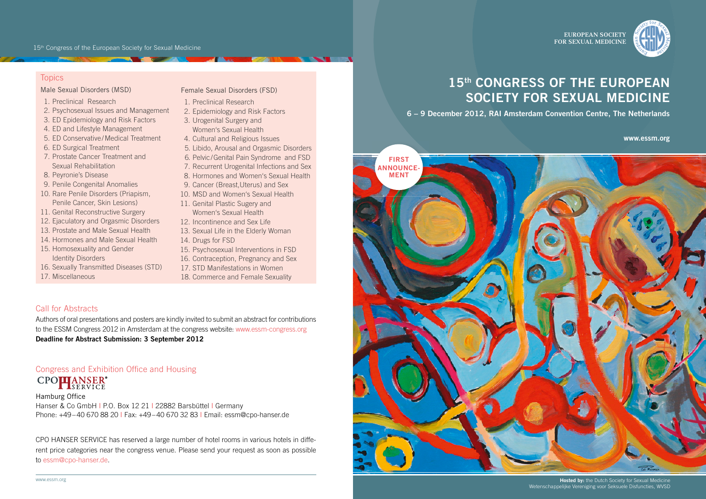EUROPEAN SOCIETY FOR SEXUAL MEDICINE



# **Topics**

## Male Sexual Disorders (MSD)

- 1. Preclinical Research
- 2. Psychosexual Issues and Management
- 3. ED Epidemiology and Risk Factors
- 4. ED and Lifestyle Management
- 5. ED Conservative / Medical Treatment
- 6. ED Surgical Treatment
- 7. Prostate Cancer Treatment and Sexual Rehabilitation
- 8. Peyronie's Disease
- 9. Penile Congenital Anomalies
- 10. Rare Penile Disorders (Priapism, Penile Cancer, Skin Lesions)
- 11. Genital Reconstructive Surgery
- 12. Ejaculatory and Orgasmic Disorders
- 13. Prostate and Male Sexual Health
- 14. Hormones and Male Sexual Health
- 15. Homosexuality and Gender Identity Disorders
- 16. Sexually Transmitted Diseases (STD)
- 17. Miscellaneous

#### Female Sexual Disorders (FSD)

- 1. Preclinical Research
- 2. Epidemiology and Risk Factors
- 3. Urogenital Surgery and Women's Sexual Health
- 4. Cultural and Religious Issues
- 5. Libido, Arousal and Orgasmic Disorders
- 6. Pelvic / Genital Pain Syndrome and FSD
- 7. Recurrent Urogenital Infections and Sex
- 8. Hormones and Women's Sexual Health
- 9. Cancer (Breast, Uterus) and Sex
- 10. MSD and Women's Sexual Health
- 11. Genital Plastic Sugery and Women's Sexual Health
- 12. Incontinence and Sex Life
- 13. Sexual Life in the Elderly Woman
- 14. Drugs for FSD
- 15. Psychosexual Interventions in FSD
- 16. Contraception, Pregnancy and Sex
- 17. STD Manifestations in Women
- 18. Commerce and Female Sexuality

# Call for Abstracts

Authors of oral presentations and posters are kindly invited to submit an abstract for contributions to the ESSM Congress 2012 in Amsterdam at the congress website: www.essm-congress.org **Deadline for Abstract Submission: 3 September 2012**

# Congress and Exhibition Office and Housing CPO**PLANSER®**

Hamburg Office Hanser & Co GmbH | P.O. Box 12 21 | 22882 Barsbüttel | Germany Phone: +49 – 40 670 88 20 ǀ Fax: +49 – 40 670 32 83 ǀ Email: essm@cpo-hanser.de

CPO HANSER SERVICE has reserved a large number of hotel rooms in various hotels in different price categories near the congress venue. Please send your request as soon as possible to essm@cpo-hanser.de.

# **15th CONGRESS OF THE EUROPEAN SOCIETY FOR SEXUAL MEDICINE**

**6 – 9 December 2012, RAI Amsterdam Convention Centre, The Netherlands**

**www.essm.org**



**Hosted by:** the Dutch Society for Sexual Medicine Wetenschappelijke Vereniging voor Seksuele Disfuncties, WVSD